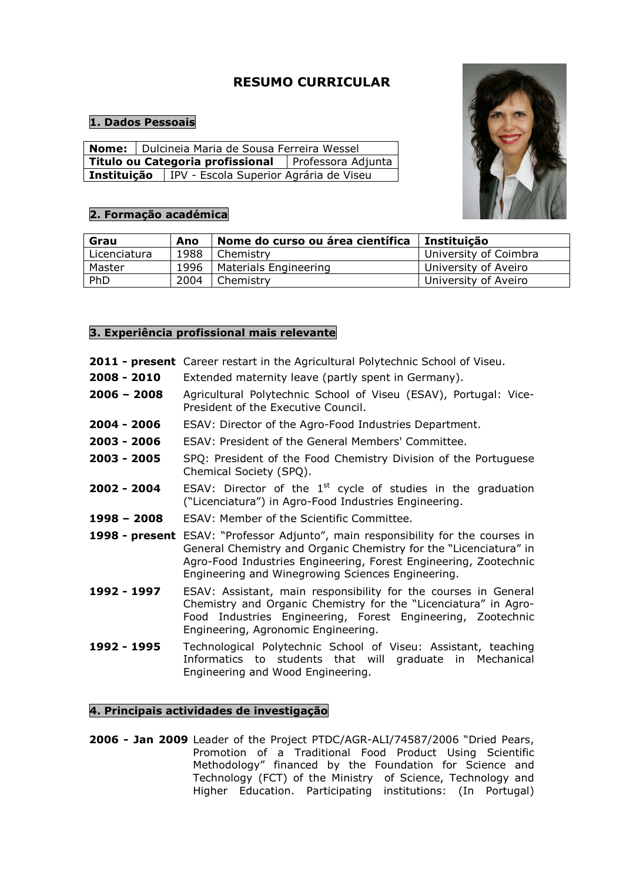# **RESUMO CURRICULAR**

# **1. Dados Pessoais**

|             |  | <b>Nome:</b>   Dulcineia Maria de Sousa Ferreira Wessel |  |  |  |  |
|-------------|--|---------------------------------------------------------|--|--|--|--|
|             |  | Titulo ou Categoria profissional   Professora Adjunta   |  |  |  |  |
| Instituição |  | IPV - Escola Superior Agrária de Viseu                  |  |  |  |  |

# **2. Formação académica**



| Grau         | Ano  | Nome do curso ou área científica | Instituição           |
|--------------|------|----------------------------------|-----------------------|
| Licenciatura | 1988 | Chemistry                        | University of Coimbra |
| Master       | 1996 | <b>Materials Engineering</b>     | University of Aveiro  |
| PhD          | 2004 | Chemistry                        | University of Aveiro  |

## **3. Experiência profissional mais relevante**

|  |  | 2011 - present Career restart in the Agricultural Polytechnic School of Viseu. |  |  |  |
|--|--|--------------------------------------------------------------------------------|--|--|--|
|  |  |                                                                                |  |  |  |

- **2008 2010** Extended maternity leave (partly spent in Germany).
- **2006 2008** Agricultural Polytechnic School of Viseu (ESAV), Portugal: Vice-President of the Executive Council.
- **2004 2006** ESAV: Director of the Agro-Food Industries Department.
- **2003 2006** ESAV: President of the General Members' Committee.
- **2003 2005** SPQ: President of the Food Chemistry Division of the Portuguese Chemical Society (SPQ).
- **2002 2004** ESAV: Director of the 1<sup>st</sup> cycle of studies in the graduation ("Licenciatura") in Agro-Food Industries Engineering.
- **1998 2008** ESAV: Member of the Scientific Committee.
- **1998 present** ESAV: "Professor Adjunto", main responsibility for the courses in General Chemistry and Organic Chemistry for the "Licenciatura" in Agro-Food Industries Engineering, Forest Engineering, Zootechnic Engineering and Winegrowing Sciences Engineering.
- **1992 1997** ESAV: Assistant, main responsibility for the courses in General Chemistry and Organic Chemistry for the "Licenciatura" in Agro-Food Industries Engineering, Forest Engineering, Zootechnic Engineering, Agronomic Engineering.
- **1992 1995** Technological Polytechnic School of Viseu: Assistant, teaching Informatics to students that will graduate in Mechanical Engineering and Wood Engineering.

## **4. Principais actividades de investigação**

**2006 - Jan 2009** Leader of the Project PTDC/AGR-ALI/74587/2006 "Dried Pears, Promotion of a Traditional Food Product Using Scientific Methodology" financed by the Foundation for Science and Technology (FCT) of the Ministry of Science, Technology and Higher Education. Participating institutions: (In Portugal)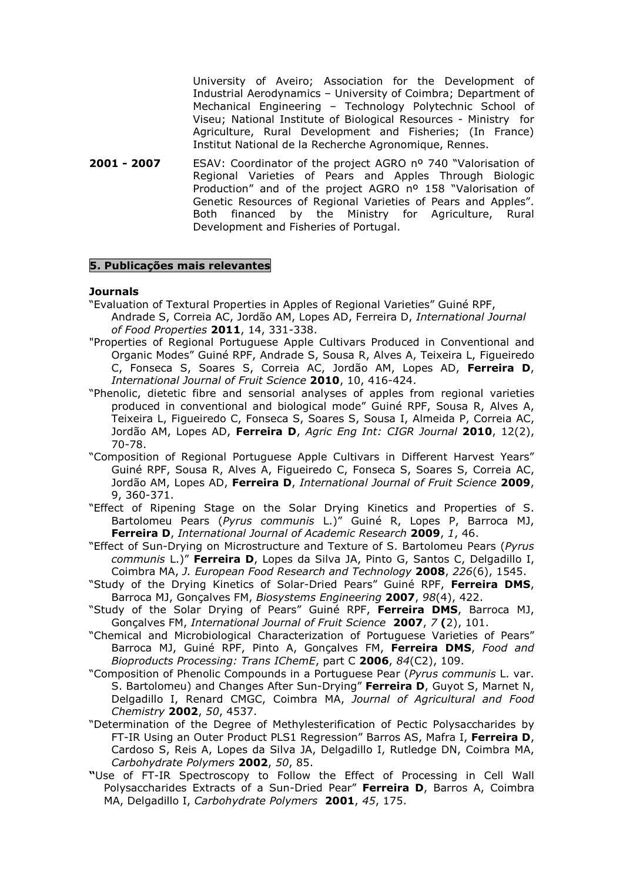University of Aveiro; Association for the Development of Industrial Aerodynamics – University of Coimbra; Department of Mechanical Engineering – Technology Polytechnic School of Viseu; National Institute of Biological Resources - Ministry for Agriculture, Rural Development and Fisheries; (In France) Institut National de la Recherche Agronomique, Rennes.

**2001 - 2007** ESAV: Coordinator of the project AGRO nº 740 "Valorisation of Regional Varieties of Pears and Apples Through Biologic Production" and of the project AGRO nº 158 "Valorisation of Genetic Resources of Regional Varieties of Pears and Apples". Both financed by the Ministry for Agriculture, Rural Development and Fisheries of Portugal.

#### **5. Publicações mais relevantes**

#### **Journals**

- "Evaluation of Textural Properties in Apples of Regional Varieties" Guiné RPF, Andrade S, Correia AC, Jordão AM, Lopes AD, Ferreira D, *International Journal of Food Properties* **2011**, 14, 331-338.
- "Properties of Regional Portuguese Apple Cultivars Produced in Conventional and Organic Modes" Guiné RPF, Andrade S, Sousa R, Alves A, Teixeira L, Figueiredo C, Fonseca S, Soares S, Correia AC, Jordão AM, Lopes AD, **Ferreira D**, *International Journal of Fruit Science* **2010**, 10, 416-424.
- "Phenolic, dietetic fibre and sensorial analyses of apples from regional varieties produced in conventional and biological mode" Guiné RPF, Sousa R, Alves A, Teixeira L, Figueiredo C, Fonseca S, Soares S, Sousa I, Almeida P, Correia AC, Jordão AM, Lopes AD, **Ferreira D**, *Agric Eng Int: CIGR Journal* **2010**, 12(2), 70-78.
- "Composition of Regional Portuguese Apple Cultivars in Different Harvest Years" Guiné RPF, Sousa R, Alves A, Figueiredo C, Fonseca S, Soares S, Correia AC, Jordão AM, Lopes AD, **Ferreira D**, *International Journal of Fruit Science* **2009**, 9, 360-371.
- "Effect of Ripening Stage on the Solar Drying Kinetics and Properties of S. Bartolomeu Pears (*Pyrus communis* L.)" Guiné R, Lopes P, Barroca MJ, **Ferreira D**, *International Journal of Academic Research* **2009**, *1*, 46.
- "Effect of Sun-Drying on Microstructure and Texture of S. Bartolomeu Pears (*Pyrus communis* L.)" **Ferreira D**, Lopes da Silva JA, Pinto G, Santos C, Delgadillo I, Coimbra MA, *J. European Food Research and Technology* **2008**, *226*(6), 1545.
- "Study of the Drying Kinetics of Solar-Dried Pears" Guiné RPF, **Ferreira DMS**, Barroca MJ, Gonçalves FM, *Biosystems Engineering* **2007**, *98*(4), 422.
- "Study of the Solar Drying of Pears" Guiné RPF, **Ferreira DMS**, Barroca MJ, Gonçalves FM, *International Journal of Fruit Science* **2007**, *7* **(**2), 101.
- "Chemical and Microbiological Characterization of Portuguese Varieties of Pears" Barroca MJ, Guiné RPF, Pinto A, Gonçalves FM, **Ferreira DMS**, *Food and Bioproducts Processing: Trans IChemE*, part C **2006**, *84*(C2), 109.
- "Composition of Phenolic Compounds in a Portuguese Pear (*Pyrus communis* L. var. S. Bartolomeu) and Changes After Sun-Drying" **Ferreira D**, Guyot S, Marnet N, Delgadillo I, Renard CMGC, Coimbra MA, *Journal of Agricultural and Food Chemistry* **2002**, *50*, 4537.
- "Determination of the Degree of Methylesterification of Pectic Polysaccharides by FT-IR Using an Outer Product PLS1 Regression" Barros AS, Mafra I, **Ferreira D**, Cardoso S, Reis A, Lopes da Silva JA, Delgadillo I, Rutledge DN, Coimbra MA, *Carbohydrate Polymers* **2002**, *50*, 85.
- **"**Use of FT-IR Spectroscopy to Follow the Effect of Processing in Cell Wall Polysaccharides Extracts of a Sun-Dried Pear" **Ferreira D**, Barros A, Coimbra MA, Delgadillo I, *Carbohydrate Polymers* **2001**, *45*, 175.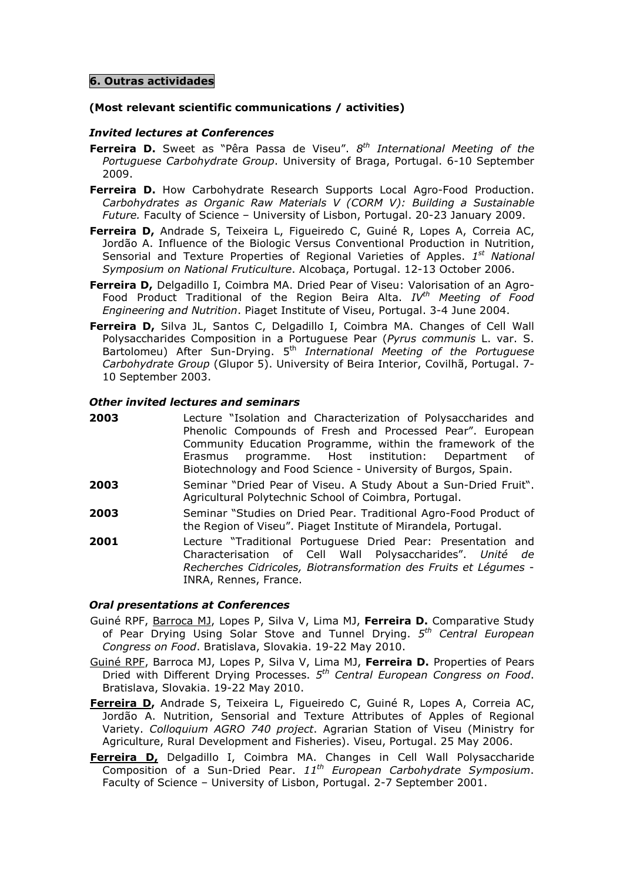## **6. Outras actividades**

## **(Most relevant scientific communications / activities)**

## *Invited lectures at Conferences*

- **Ferreira D.** Sweet as "Pêra Passa de Viseu". *8 th International Meeting of the Portuguese Carbohydrate Group*. University of Braga, Portugal. 6-10 September 2009.
- **Ferreira D.** How Carbohydrate Research Supports Local Agro-Food Production. *Carbohydrates as Organic Raw Materials V (CORM V): Building a Sustainable Future.* Faculty of Science – University of Lisbon, Portugal. 20-23 January 2009.
- **Ferreira D,** Andrade S, Teixeira L, Figueiredo C, Guiné R, Lopes A, Correia AC, Jordão A. Influence of the Biologic Versus Conventional Production in Nutrition, Sensorial and Texture Properties of Regional Varieties of Apples. 1<sup>st</sup> National *Symposium on National Fruticulture*. Alcobaça, Portugal. 12-13 October 2006.
- **Ferreira D,** Delgadillo I, Coimbra MA. Dried Pear of Viseu: Valorisation of an Agro-Food Product Traditional of the Region Beira Alta. *IVth Meeting of Food Engineering and Nutrition*. Piaget Institute of Viseu, Portugal. 3-4 June 2004.
- **Ferreira D,** Silva JL, Santos C, Delgadillo I, Coimbra MA. Changes of Cell Wall Polysaccharides Composition in a Portuguese Pear (*Pyrus communis* L. var. S. Bartolomeu) After Sun-Drying. 5th *International Meeting of the Portuguese Carbohydrate Group* (Glupor 5). University of Beira Interior, Covilhã, Portugal. 7- 10 September 2003.

## *Other invited lectures and seminars*

- **2003** Lecture "Isolation and Characterization of Polysaccharides and Phenolic Compounds of Fresh and Processed Pear". European Community Education Programme, within the framework of the Erasmus programme. Host institution: Department of Biotechnology and Food Science - University of Burgos, Spain.
- **2003** Seminar "Dried Pear of Viseu. A Study About a Sun-Dried Fruit". Agricultural Polytechnic School of Coimbra, Portugal.
- **2003** Seminar "Studies on Dried Pear. Traditional Agro-Food Product of the Region of Viseu". Piaget Institute of Mirandela, Portugal.
- **2001** Lecture "Traditional Portuguese Dried Pear: Presentation and Characterisation of Cell Wall Polysaccharides". *Unité de Recherches Cidricoles, Biotransformation des Fruits et Légumes* - INRA, Rennes, France.

## *Oral presentations at Conferences*

- Guiné RPF, Barroca MJ, Lopes P, Silva V, Lima MJ, **Ferreira D.** Comparative Study of Pear Drying Using Solar Stove and Tunnel Drying. *5 th Central European Congress on Food*. Bratislava, Slovakia. 19-22 May 2010.
- Guiné RPF, Barroca MJ, Lopes P, Silva V, Lima MJ, **Ferreira D.** Properties of Pears Dried with Different Drying Processes. *5 th Central European Congress on Food*. Bratislava, Slovakia. 19-22 May 2010.
- **Ferreira D,** Andrade S, Teixeira L, Figueiredo C, Guiné R, Lopes A, Correia AC, Jordão A. Nutrition, Sensorial and Texture Attributes of Apples of Regional Variety. *Colloquium AGRO 740 project*. Agrarian Station of Viseu (Ministry for Agriculture, Rural Development and Fisheries). Viseu, Portugal. 25 May 2006.
- **Ferreira D,** Delgadillo I, Coimbra MA. Changes in Cell Wall Polysaccharide Composition of a Sun-Dried Pear. *11th European Carbohydrate Symposium*. Faculty of Science – University of Lisbon, Portugal. 2-7 September 2001.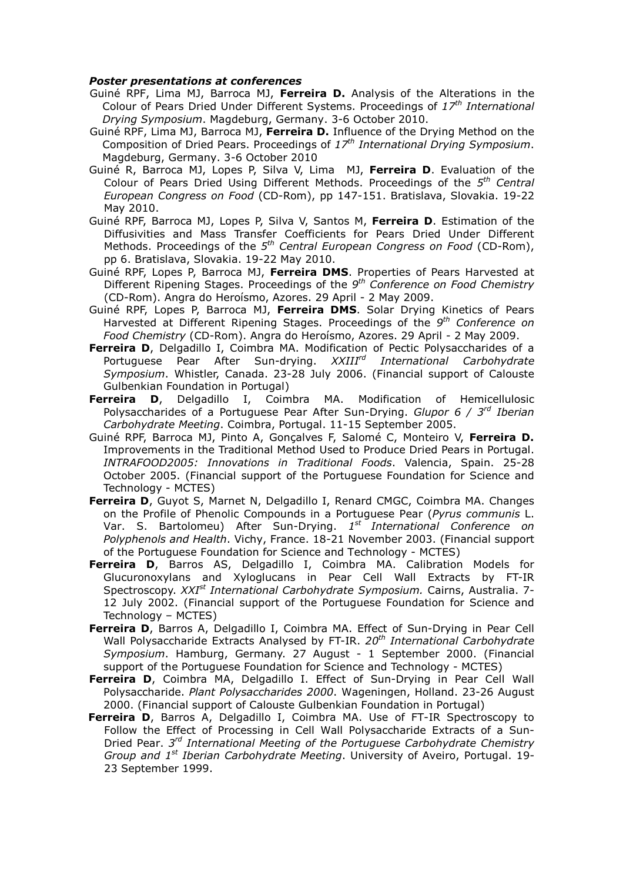#### *Poster presentations at conferences*

- Guiné RPF, Lima MJ, Barroca MJ, **Ferreira D.** Analysis of the Alterations in the Colour of Pears Dried Under Different Systems. Proceedings of *17th International Drying Symposium*. Magdeburg, Germany. 3-6 October 2010.
- Guiné RPF, Lima MJ, Barroca MJ, **Ferreira D.** Influence of the Drying Method on the Composition of Dried Pears. Proceedings of *17th International Drying Symposium*. Magdeburg, Germany. 3-6 October 2010
- Guiné R, Barroca MJ, Lopes P, Silva V, Lima MJ, **Ferreira D**. Evaluation of the Colour of Pears Dried Using Different Methods. Proceedings of the *5 th Central European Congress on Food* (CD-Rom), pp 147-151. Bratislava, Slovakia. 19-22 May 2010.
- Guiné RPF, Barroca MJ, Lopes P, Silva V, Santos M, **Ferreira D**. Estimation of the Diffusivities and Mass Transfer Coefficients for Pears Dried Under Different Methods. Proceedings of the *5 th Central European Congress on Food* (CD-Rom), pp 6. Bratislava, Slovakia. 19-22 May 2010.
- Guiné RPF, Lopes P, Barroca MJ, **Ferreira DMS**. Properties of Pears Harvested at Different Ripening Stages. Proceedings of the *9 th Conference on Food Chemistry* (CD-Rom). Angra do Heroísmo, Azores. 29 April - 2 May 2009.
- Guiné RPF, Lopes P, Barroca MJ, **Ferreira DMS**. Solar Drying Kinetics of Pears Harvested at Different Ripening Stages. Proceedings of the *9 th Conference on Food Chemistry* (CD-Rom). Angra do Heroísmo, Azores. 29 April - 2 May 2009.
- **Ferreira D**, Delgadillo I, Coimbra MA. Modification of Pectic Polysaccharides of a Portuguese Pear After Sun-drying. *XXIIIrd International Carbohydrate Symposium*. Whistler, Canada. 23-28 July 2006. (Financial support of Calouste Gulbenkian Foundation in Portugal)
- **Ferreira D**, Delgadillo I, Coimbra MA. Modification of Hemicellulosic Polysaccharides of a Portuguese Pear After Sun-Drying. *Glupor 6 / 3rd Iberian Carbohydrate Meeting*. Coimbra, Portugal. 11-15 September 2005.
- Guiné RPF, Barroca MJ, Pinto A, Gonçalves F, Salomé C, Monteiro V, **Ferreira D.**  Improvements in the Traditional Method Used to Produce Dried Pears in Portugal. *INTRAFOOD2005: Innovations in Traditional Foods*. Valencia, Spain. 25-28 October 2005. (Financial support of the Portuguese Foundation for Science and Technology - MCTES)
- **Ferreira D**, Guyot S, Marnet N, Delgadillo I, Renard CMGC, Coimbra MA. Changes on the Profile of Phenolic Compounds in a Portuguese Pear (*Pyrus communis* L. Var. S. Bartolomeu) After Sun-Drying. *1 st International Conference on Polyphenols and Health*. Vichy, France. 18-21 November 2003. (Financial support of the Portuguese Foundation for Science and Technology - MCTES)
- **Ferreira D**, Barros AS, Delgadillo I, Coimbra MA. Calibration Models for Glucuronoxylans and Xyloglucans in Pear Cell Wall Extracts by FT-IR Spectroscopy. *XXIst International Carbohydrate Symposium.* Cairns, Australia. 7- 12 July 2002. (Financial support of the Portuguese Foundation for Science and Technology – MCTES)
- **Ferreira D**, Barros A, Delgadillo I, Coimbra MA. Effect of Sun-Drying in Pear Cell Wall Polysaccharide Extracts Analysed by FT-IR. *20th International Carbohydrate Symposium*. Hamburg, Germany. 27 August - 1 September 2000. (Financial support of the Portuguese Foundation for Science and Technology - MCTES)
- **Ferreira D**, Coimbra MA, Delgadillo I. Effect of Sun-Drying in Pear Cell Wall Polysaccharide. *Plant Polysaccharides 2000*. Wageningen, Holland. 23-26 August 2000. (Financial support of Calouste Gulbenkian Foundation in Portugal)
- **Ferreira D**, Barros A, Delgadillo I, Coimbra MA. Use of FT-IR Spectroscopy to Follow the Effect of Processing in Cell Wall Polysaccharide Extracts of a Sun-Dried Pear. *3 rd International Meeting of the Portuguese Carbohydrate Chemistry Group and 1st Iberian Carbohydrate Meeting*. University of Aveiro, Portugal. 19- 23 September 1999.